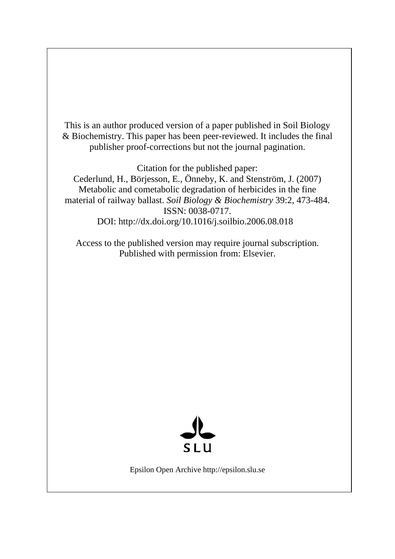This is an author produced version of a paper published in Soil Biology & Biochemistry. This paper has been peer-reviewed. It includes the final publisher proof-corrections but not the journal pagination.

Citation for the published paper:

Cederlund, H., Börjesson, E., Önneby, K. and Stenström, J. (2007) Metabolic and cometabolic degradation of herbicides in the fine material of railway ballast. *Soil Biology & Biochemistry* 39:2, 473-484. ISSN: 0038-0717. DOI: http://dx.doi.org/10.1016/j.soilbio.2006.08.018

Access to the published version may require journal subscription. Published with permission from: Elsevier.



Epsilon Open Archive http://epsilon.slu.se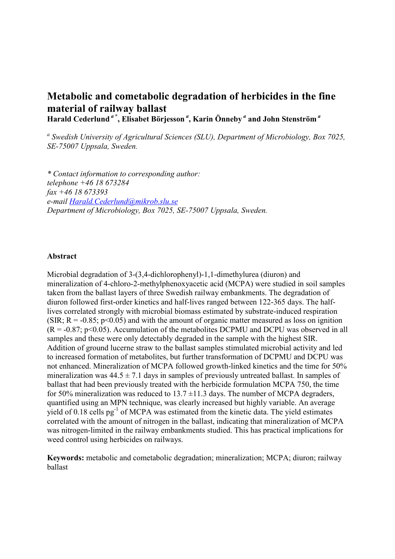# Metabolic and cometabolic degradation of herbicides in the fine material of railway ballast Harald Cederlund<sup>a\*</sup>, Elisabet Börjesson<sup>a</sup>, Karin Önneby<sup>a</sup> and John Stenström<sup>a</sup>

<sup>a</sup> Swedish University of Agricultural Sciences (SLU), Department of Microbiology, Box 7025, SE-75007 Uppsala, Sweden.

\* Contact information to corresponding author: telephone +46 18 673284 fax +46 18 673393 e-mail Harald.Cederlund@mikrob.slu.se Department of Microbiology, Box 7025, SE-75007 Uppsala, Sweden.

### Abstract

Microbial degradation of 3-(3,4-dichlorophenyl)-1,1-dimethylurea (diuron) and mineralization of 4-chloro-2-methylphenoxyacetic acid (MCPA) were studied in soil samples taken from the ballast layers of three Swedish railway embankments. The degradation of diuron followed first-order kinetics and half-lives ranged between 122-365 days. The halflives correlated strongly with microbial biomass estimated by substrate-induced respiration (SIR;  $R = -0.85$ ;  $p < 0.05$ ) and with the amount of organic matter measured as loss on ignition  $(R = -0.87; p < 0.05)$ . Accumulation of the metabolites DCPMU and DCPU was observed in all samples and these were only detectably degraded in the sample with the highest SIR. Addition of ground lucerne straw to the ballast samples stimulated microbial activity and led to increased formation of metabolites, but further transformation of DCPMU and DCPU was not enhanced. Mineralization of MCPA followed growth-linked kinetics and the time for 50% mineralization was  $44.5 \pm 7.1$  days in samples of previously untreated ballast. In samples of ballast that had been previously treated with the herbicide formulation MCPA 750, the time for 50% mineralization was reduced to  $13.7 \pm 11.3$  days. The number of MCPA degraders, quantified using an MPN technique, was clearly increased but highly variable. An average yield of 0.18 cells pg<sup>-1</sup> of MCPA was estimated from the kinetic data. The yield estimates correlated with the amount of nitrogen in the ballast, indicating that mineralization of MCPA was nitrogen-limited in the railway embankments studied. This has practical implications for weed control using herbicides on railways.

Keywords: metabolic and cometabolic degradation; mineralization; MCPA; diuron; railway ballast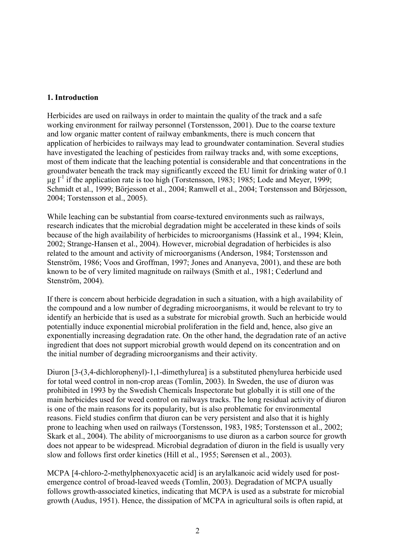## 1. Introduction

Herbicides are used on railways in order to maintain the quality of the track and a safe working environment for railway personnel (Torstensson, 2001). Due to the coarse texture and low organic matter content of railway embankments, there is much concern that application of herbicides to railways may lead to groundwater contamination. Several studies have investigated the leaching of pesticides from railway tracks and, with some exceptions, most of them indicate that the leaching potential is considerable and that concentrations in the groundwater beneath the track may significantly exceed the EU limit for drinking water of 0.1  $\mu$ g l<sup>-1</sup> if the application rate is too high (Torstensson, 1983; 1985; Lode and Meyer, 1999; Schmidt et al., 1999; Börjesson et al., 2004; Ramwell et al., 2004; Torstensson and Börjesson, 2004; Torstensson et al., 2005).

While leaching can be substantial from coarse-textured environments such as railways, research indicates that the microbial degradation might be accelerated in these kinds of soils because of the high availability of herbicides to microorganisms (Hassink et al., 1994; Klein, 2002; Strange-Hansen et al., 2004). However, microbial degradation of herbicides is also related to the amount and activity of microorganisms (Anderson, 1984; Torstensson and Stenström, 1986; Voos and Groffman, 1997; Jones and Ananyeva, 2001), and these are both known to be of very limited magnitude on railways (Smith et al., 1981; Cederlund and Stenström, 2004).

If there is concern about herbicide degradation in such a situation, with a high availability of the compound and a low number of degrading microorganisms, it would be relevant to try to identify an herbicide that is used as a substrate for microbial growth. Such an herbicide would potentially induce exponential microbial proliferation in the field and, hence, also give an exponentially increasing degradation rate. On the other hand, the degradation rate of an active ingredient that does not support microbial growth would depend on its concentration and on the initial number of degrading microorganisms and their activity.

Diuron [3-(3,4-dichlorophenyl)-1,1-dimethylurea] is a substituted phenylurea herbicide used for total weed control in non-crop areas (Tomlin, 2003). In Sweden, the use of diuron was prohibited in 1993 by the Swedish Chemicals Inspectorate but globally it is still one of the main herbicides used for weed control on railways tracks. The long residual activity of diuron is one of the main reasons for its popularity, but is also problematic for environmental reasons. Field studies confirm that diuron can be very persistent and also that it is highly prone to leaching when used on railways (Torstensson, 1983, 1985; Torstensson et al., 2002; Skark et al., 2004). The ability of microorganisms to use diuron as a carbon source for growth does not appear to be widespread. Microbial degradation of diuron in the field is usually very slow and follows first order kinetics (Hill et al., 1955; Sørensen et al., 2003).

MCPA [4-chloro-2-methylphenoxyacetic acid] is an arylalkanoic acid widely used for postemergence control of broad-leaved weeds (Tomlin, 2003). Degradation of MCPA usually follows growth-associated kinetics, indicating that MCPA is used as a substrate for microbial growth (Audus, 1951). Hence, the dissipation of MCPA in agricultural soils is often rapid, at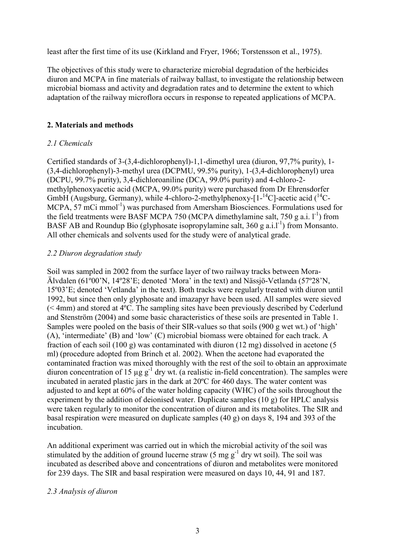least after the first time of its use (Kirkland and Fryer, 1966; Torstensson et al., 1975).

The objectives of this study were to characterize microbial degradation of the herbicides diuron and MCPA in fine materials of railway ballast, to investigate the relationship between microbial biomass and activity and degradation rates and to determine the extent to which adaptation of the railway microflora occurs in response to repeated applications of MCPA.

### 2. Materials and methods

### 2.1 Chemicals

Certified standards of 3-(3,4-dichlorophenyl)-1,1-dimethyl urea (diuron, 97,7% purity), 1- (3,4-dichlorophenyl)-3-methyl urea (DCPMU, 99.5% purity), 1-(3,4-dichlorophenyl) urea (DCPU, 99.7% purity), 3,4-dichloroaniline (DCA, 99.0% purity) and 4-chloro-2 methylphenoxyacetic acid (MCPA, 99.0% purity) were purchased from Dr Ehrensdorfer GmbH (Augsburg, Germany), while 4-chloro-2-methylphenoxy- $[1^{-14}C]$ -acetic acid  $(1^{14}C-$ MCPA, 57 mCi mmol<sup>-1</sup>) was purchased from Amersham Biosciences. Formulations used for the field treatments were BASF MCPA 750 (MCPA dimethylamine salt, 750 g a.i.  $1^{-1}$ ) from BASF AB and Roundup Bio (glyphosate isopropylamine salt,  $360$  g a.i.l<sup>-1</sup>) from Monsanto. All other chemicals and solvents used for the study were of analytical grade.

### 2.2 Diuron degradation study

Soil was sampled in 2002 from the surface layer of two railway tracks between Mora-Älvdalen (61º00'N, 14º28'E; denoted 'Mora' in the text) and Nässjö-Vetlanda (57º28'N, 15º03'E; denoted 'Vetlanda' in the text). Both tracks were regularly treated with diuron until 1992, but since then only glyphosate and imazapyr have been used. All samples were sieved (< 4mm) and stored at 4ºC. The sampling sites have been previously described by Cederlund and Stenström (2004) and some basic characteristics of these soils are presented in Table 1. Samples were pooled on the basis of their SIR-values so that soils (900 g wet wt.) of 'high' (A), 'intermediate' (B) and 'low' (C) microbial biomass were obtained for each track. A fraction of each soil (100 g) was contaminated with diuron (12 mg) dissolved in acetone (5 ml) (procedure adopted from Brinch et al. 2002). When the acetone had evaporated the contaminated fraction was mixed thoroughly with the rest of the soil to obtain an approximate diuron concentration of 15  $\mu$ g g<sup>-1</sup> dry wt. (a realistic in-field concentration). The samples were incubated in aerated plastic jars in the dark at 20ºC for 460 days. The water content was adjusted to and kept at 60% of the water holding capacity (WHC) of the soils throughout the experiment by the addition of deionised water. Duplicate samples (10 g) for HPLC analysis were taken regularly to monitor the concentration of diuron and its metabolites. The SIR and basal respiration were measured on duplicate samples (40 g) on days 8, 194 and 393 of the incubation.

An additional experiment was carried out in which the microbial activity of the soil was stimulated by the addition of ground lucerne straw  $(5 \text{ mg g}^{-1}$  dry wt soil). The soil was incubated as described above and concentrations of diuron and metabolites were monitored for 239 days. The SIR and basal respiration were measured on days 10, 44, 91 and 187.

### 2.3 Analysis of diuron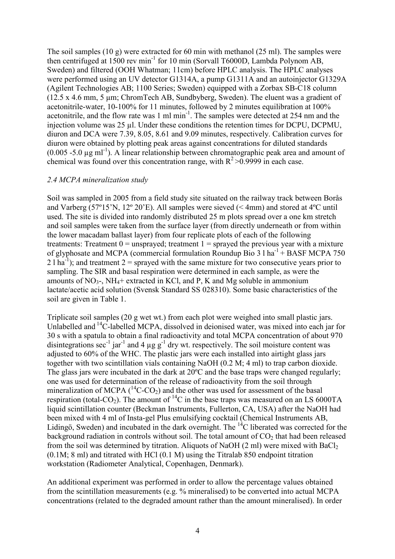The soil samples (10 g) were extracted for 60 min with methanol (25 ml). The samples were then centrifuged at  $1500$  rev min<sup>-1</sup> for 10 min (Sorvall T6000D, Lambda Polynom AB, Sweden) and filtered (OOH Whatman; 11cm) before HPLC analysis. The HPLC analyses were performed using an UV detector G1314A, a pump G1311A and an autoinjector G1329A (Agilent Technologies AB; 1100 Series; Sweden) equipped with a Zorbax SB-C18 column (12.5 x 4.6 mm, 5 µm; ChromTech AB, Sundbyberg, Sweden). The eluent was a gradient of acetonitrile-water, 10-100% for 11 minutes, followed by 2 minutes equilibration at 100% acetonitrile, and the flow rate was 1 ml min-1. The samples were detected at 254 nm and the injection volume was 25 µl. Under these conditions the retention times for DCPU, DCPMU, diuron and DCA were 7.39, 8.05, 8.61 and 9.09 minutes, respectively. Calibration curves for diuron were obtained by plotting peak areas against concentrations for diluted standards  $(0.005 - 5.0 \mu g \text{ ml}^{-1})$ . A linear relationship between chromatographic peak area and amount of chemical was found over this concentration range, with  $R^2 > 0.99999$  in each case.

#### 2.4 MCPA mineralization study

Soil was sampled in 2005 from a field study site situated on the railway track between Borås and Varberg (57º15'N, 12º 20'E). All samples were sieved (< 4mm) and stored at 4ºC until used. The site is divided into randomly distributed 25 m plots spread over a one km stretch and soil samples were taken from the surface layer (from directly underneath or from within the lower macadam ballast layer) from four replicate plots of each of the following treatments: Treatment  $0 =$  unsprayed; treatment  $1 =$  sprayed the previous year with a mixture of glyphosate and MCPA (commercial formulation Roundup Bio 3 l  $ha^{-1}$  + BASF MCPA 750 2 l ha<sup>-1</sup>); and treatment 2 = sprayed with the same mixture for two consecutive years prior to sampling. The SIR and basal respiration were determined in each sample, as were the amounts of  $NO_3$ -,  $NH_4$ + extracted in KCl, and P, K and Mg soluble in ammonium lactate/acetic acid solution (Svensk Standard SS 028310). Some basic characteristics of the soil are given in Table 1.

Triplicate soil samples (20 g wet wt.) from each plot were weighed into small plastic jars. Unlabelled and  $^{14}$ C-labelled MCPA, dissolved in deionised water, was mixed into each jar for 30 s with a spatula to obtain a final radioactivity and total MCPA concentration of about 970 disintegrations sec<sup>-1</sup> jar<sup>-1</sup> and 4  $\mu$ g g<sup>-1</sup> dry wt. respectively. The soil moisture content was adjusted to 60% of the WHC. The plastic jars were each installed into airtight glass jars together with two scintillation vials containing NaOH (0.2 M; 4 ml) to trap carbon dioxide. The glass jars were incubated in the dark at 20ºC and the base traps were changed regularly; one was used for determination of the release of radioactivity from the soil through mineralization of MCPA  $({}^{14}C$ -CO<sub>2</sub>) and the other was used for assessment of the basal respiration (total-CO<sub>2</sub>). The amount of  ${}^{14}C$  in the base traps was measured on an LS 6000TA liquid scintillation counter (Beckman Instruments, Fullerton, CA, USA) after the NaOH had been mixed with 4 ml of Insta-gel Plus emulsifying cocktail (Chemical Instruments AB, Lidingö, Sweden) and incubated in the dark overnight. The  $^{14}$ C liberated was corrected for the background radiation in controls without soil. The total amount of  $CO<sub>2</sub>$  that had been released from the soil was determined by titration. Aliquots of NaOH  $(2 \text{ ml})$  were mixed with BaCl<sub>2</sub> (0.1M; 8 ml) and titrated with HCl (0.1 M) using the Titralab 850 endpoint titration workstation (Radiometer Analytical, Copenhagen, Denmark).

An additional experiment was performed in order to allow the percentage values obtained from the scintillation measurements (e.g. % mineralised) to be converted into actual MCPA concentrations (related to the degraded amount rather than the amount mineralised). In order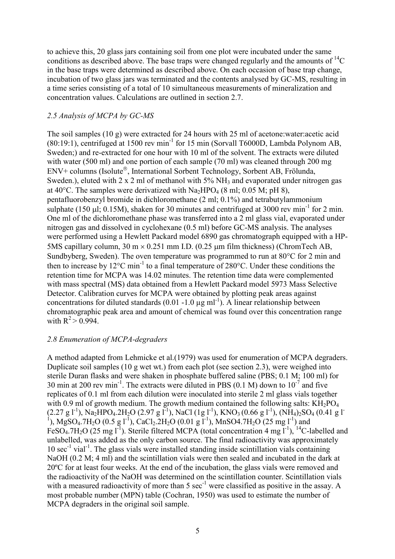to achieve this, 20 glass jars containing soil from one plot were incubated under the same conditions as described above. The base traps were changed regularly and the amounts of  ${}^{14}C$ in the base traps were determined as described above. On each occasion of base trap change, incubation of two glass jars was terminated and the contents analysed by GC-MS, resulting in a time series consisting of a total of 10 simultaneous measurements of mineralization and concentration values. Calculations are outlined in section 2.7.

### 2.5 Analysis of MCPA by GC-MS

The soil samples (10 g) were extracted for 24 hours with 25 ml of acetone:water:acetic acid  $(80:19:1)$ , centrifuged at 1500 rev min<sup>-1</sup> for 15 min (Sorvall T6000D, Lambda Polynom AB, Sweden;) and re-extracted for one hour with 10 ml of the solvent. The extracts were diluted with water (500 ml) and one portion of each sample (70 ml) was cleaned through 200 mg ENV+ columns (Isolute®, International Sorbent Technology, Sorbent AB, Frölunda, Sweden.), eluted with  $2 \times 2$  ml of methanol with  $5\%$  NH<sub>3</sub> and evaporated under nitrogen gas at  $40^{\circ}$ C. The samples were derivatized with Na<sub>2</sub>HPO<sub>4</sub> (8 ml; 0.05 M; pH 8), pentafluorobenzyl bromide in dichloromethane (2 ml; 0.1%) and tetrabutylammonium sulphate (150  $\mu$ l; 0.15M), shaken for 30 minutes and centrifuged at 3000 rev min<sup>-1</sup> for 2 min. One ml of the dichloromethane phase was transferred into a 2 ml glass vial, evaporated under nitrogen gas and dissolved in cyclohexane (0.5 ml) before GC-MS analysis. The analyses were performed using a Hewlett Packard model 6890 gas chromatograph equipped with a HP-5MS capillary column,  $30 \text{ m} \times 0.251 \text{ mm}$  I.D. (0.25  $\mu$ m film thickness) (ChromTech AB, Sundbyberg, Sweden). The oven temperature was programmed to run at 80°C for 2 min and then to increase by 12 $^{\circ}$ C min<sup>-1</sup> to a final temperature of 280 $^{\circ}$ C. Under these conditions the retention time for MCPA was 14.02 minutes. The retention time data were complemented with mass spectral (MS) data obtained from a Hewlett Packard model 5973 Mass Selective Detector. Calibration curves for MCPA were obtained by plotting peak areas against concentrations for diluted standards  $(0.01 - 1.0 \mu g \text{ m}^{-1})$ . A linear relationship between chromatographic peak area and amount of chemical was found over this concentration range with  $R^2 > 0.994$ .

### 2.8 Enumeration of MCPA-degraders

A method adapted from Lehmicke et al.(1979) was used for enumeration of MCPA degraders. Duplicate soil samples (10 g wet wt.) from each plot (see section 2.3), were weighed into sterile Duran flasks and were shaken in phosphate buffered saline (PBS; 0.1 M; 100 ml) for 30 min at 200 rev min<sup>-1</sup>. The extracts were diluted in PBS  $(0.1 \text{ M})$  down to  $10^{-7}$  and five replicates of 0.1 ml from each dilution were inoculated into sterile 2 ml glass vials together with 0.9 ml of growth medium. The growth medium contained the following salts:  $KH_2PO_4$ (2.27 g l<sup>-1</sup>), Na<sub>2</sub>HPO<sub>4</sub>.2H<sub>2</sub>O (2.97 g l<sup>-1</sup>), NaCl (1g l<sup>-1</sup>), KNO<sub>3</sub> (0.66 g l<sup>-1</sup>), (NH<sub>4</sub>)<sub>2</sub>SO<sub>4</sub> (0.41 g l<sup>-1</sup>), MgSO<sub>4</sub>.7H<sub>2</sub>O (0.5 g l<sup>-1</sup>), CaCl<sub>2</sub>.2H<sub>2</sub>O (0.01 g l<sup>-1</sup>), MnSO4.7H<sub>2</sub>O (25 mg l<sup>-1</sup>) and FeSO<sub>4</sub>.7H<sub>2</sub>O (25 mg l<sup>-1</sup>). Sterile filtered MCPA (total concentration 4 mg l<sup>-1</sup>), <sup>14</sup>C-labelled and unlabelled, was added as the only carbon source. The final radioactivity was approximately  $10 \text{ sec}^{-1}$  vial<sup>-1</sup>. The glass vials were installed standing inside scintillation vials containing NaOH (0.2 M; 4 ml) and the scintillation vials were then sealed and incubated in the dark at 20ºC for at least four weeks. At the end of the incubation, the glass vials were removed and the radioactivity of the NaOH was determined on the scintillation counter. Scintillation vials with a measured radioactivity of more than 5 sec<sup>-1</sup> were classified as positive in the assay. A most probable number (MPN) table (Cochran, 1950) was used to estimate the number of MCPA degraders in the original soil sample.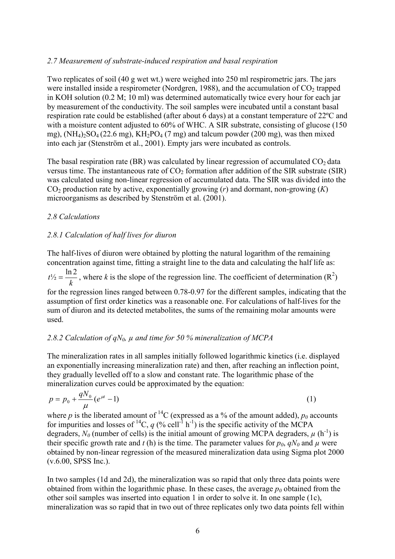### 2.7 Measurement of substrate-induced respiration and basal respiration

Two replicates of soil (40 g wet wt.) were weighed into 250 ml respirometric jars. The jars were installed inside a respirometer (Nordgren, 1988), and the accumulation of  $CO<sub>2</sub>$  trapped in KOH solution (0.2 M; 10 ml) was determined automatically twice every hour for each jar by measurement of the conductivity. The soil samples were incubated until a constant basal respiration rate could be established (after about 6 days) at a constant temperature of 22ºC and with a moisture content adjusted to 60% of WHC. A SIR substrate, consisting of glucose (150) mg),  $(NH_4)_2SO_4(22.6 \text{ mg})$ ,  $KH_2PO_4(7 \text{ mg})$  and talcum powder (200 mg), was then mixed into each jar (Stenström et al., 2001). Empty jars were incubated as controls.

The basal respiration rate (BR) was calculated by linear regression of accumulated  $CO<sub>2</sub>$  data versus time. The instantaneous rate of  $CO<sub>2</sub>$  formation after addition of the SIR substrate (SIR) was calculated using non-linear regression of accumulated data. The SIR was divided into the  $CO<sub>2</sub>$  production rate by active, exponentially growing ( $r$ ) and dormant, non-growing ( $K$ ) microorganisms as described by Stenström et al. (2001).

### 2.8 Calculations

### 2.8.1 Calculation of half lives for diuron

The half-lives of diuron were obtained by plotting the natural logarithm of the remaining concentration against time, fitting a straight line to the data and calculating the half life as: k  $t\frac{1}{2} = \frac{\ln 2}{1}$ , where k is the slope of the regression line. The coefficient of determination (R<sup>2</sup>) for the regression lines ranged between 0.78-0.97 for the different samples, indicating that the assumption of first order kinetics was a reasonable one. For calculations of half-lives for the sum of diuron and its detected metabolites, the sums of the remaining molar amounts were used.

## 2.8.2 Calculation of  $qN_0$ ,  $\mu$  and time for 50 % mineralization of MCPA

The mineralization rates in all samples initially followed logarithmic kinetics (i.e. displayed an exponentially increasing mineralization rate) and then, after reaching an inflection point, they gradually levelled off to a slow and constant rate. The logarithmic phase of the mineralization curves could be approximated by the equation:

$$
p = p_0 + \frac{qN_0}{\mu} (e^{\mu t} - 1) \tag{1}
$$

where p is the liberated amount of <sup>14</sup>C (expressed as a % of the amount added),  $p_0$  accounts for impurities and losses of <sup>14</sup>C, q (% cell<sup>-1</sup> h<sup>-1</sup>) is the specific activity of the MCPA degraders,  $N_0$  (number of cells) is the initial amount of growing MCPA degraders,  $\mu$  (h<sup>-1</sup>) is their specific growth rate and t (h) is the time. The parameter values for  $p_0$ ,  $qN_0$  and  $\mu$  were obtained by non-linear regression of the measured mineralization data using Sigma plot 2000 (v.6.00, SPSS Inc.).

In two samples (1d and 2d), the mineralization was so rapid that only three data points were obtained from within the logarithmic phase. In these cases, the average  $p_0$  obtained from the other soil samples was inserted into equation 1 in order to solve it. In one sample (1c), mineralization was so rapid that in two out of three replicates only two data points fell within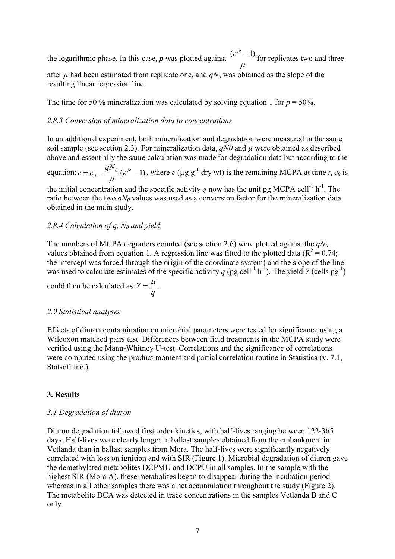the logarithmic phase. In this case,  $p$  was plotted against  $\mu$  $\frac{(e^{\mu t}-1)}{2}$  for replicates two and three

after  $\mu$  had been estimated from replicate one, and  $qN<sub>0</sub>$  was obtained as the slope of the resulting linear regression line.

The time for 50 % mineralization was calculated by solving equation 1 for  $p = 50\%$ .

#### 2.8.3 Conversion of mineralization data to concentrations

In an additional experiment, both mineralization and degradation were measured in the same soil sample (see section 2.3). For mineralization data,  $qN\theta$  and  $\mu$  were obtained as described above and essentially the same calculation was made for degradation data but according to the

equation:  $c = c_0 - \frac{q_1 v_0}{r_0} (e^{\mu t} - 1)$  $qN$  $c = c_0 - \frac{q^{1.1}0}{q} (e^{\mu t})$  $\mu$ , where  $c$  ( $\mu$ g g<sup>-1</sup> dry wt) is the remaining MCPA at time t,  $c_0$  is

the initial concentration and the specific activity q now has the unit pg MCPA cell<sup>-1</sup> h<sup>-1</sup>. The ratio between the two  $qN_0$  values was used as a conversion factor for the mineralization data obtained in the main study.

### 2.8.4 Calculation of q,  $N_0$  and yield

The numbers of MCPA degraders counted (see section 2.6) were plotted against the  $qN_0$ values obtained from equation 1. A regression line was fitted to the plotted data ( $R^2 = 0.74$ ; the intercept was forced through the origin of the coordinate system) and the slope of the line was used to calculate estimates of the specific activity q (pg cell<sup>-1</sup> h<sup>-1</sup>). The yield Y (cells pg<sup>-1</sup>)

could then be calculated as: q  $Y = \frac{\mu}{\mu}$ .

#### 2.9 Statistical analyses

Effects of diuron contamination on microbial parameters were tested for significance using a Wilcoxon matched pairs test. Differences between field treatments in the MCPA study were verified using the Mann-Whitney U-test. Correlations and the significance of correlations were computed using the product moment and partial correlation routine in Statistica (v. 7.1, Statsoft Inc.).

#### 3. Results

#### 3.1 Degradation of diuron

Diuron degradation followed first order kinetics, with half-lives ranging between 122-365 days. Half-lives were clearly longer in ballast samples obtained from the embankment in Vetlanda than in ballast samples from Mora. The half-lives were significantly negatively correlated with loss on ignition and with SIR (Figure 1). Microbial degradation of diuron gave the demethylated metabolites DCPMU and DCPU in all samples. In the sample with the highest SIR (Mora A), these metabolites began to disappear during the incubation period whereas in all other samples there was a net accumulation throughout the study (Figure 2). The metabolite DCA was detected in trace concentrations in the samples Vetlanda B and C only.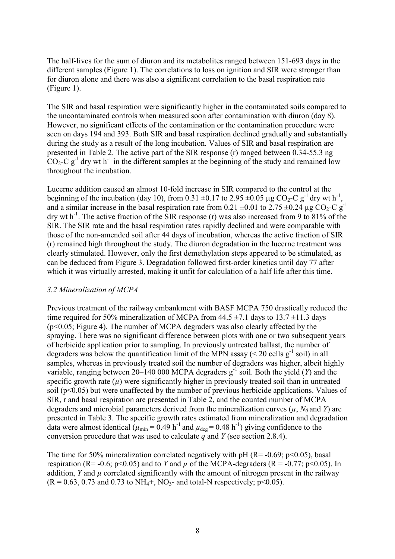The half-lives for the sum of diuron and its metabolites ranged between 151-693 days in the different samples (Figure 1). The correlations to loss on ignition and SIR were stronger than for diuron alone and there was also a significant correlation to the basal respiration rate (Figure 1).

The SIR and basal respiration were significantly higher in the contaminated soils compared to the uncontaminated controls when measured soon after contamination with diuron (day 8). However, no significant effects of the contamination or the contamination procedure were seen on days 194 and 393. Both SIR and basal respiration declined gradually and substantially during the study as a result of the long incubation. Values of SIR and basal respiration are presented in Table 2. The active part of the SIR response (r) ranged between 0.34-55.3 ng  $CO<sub>2</sub>-C$  g<sup>-1</sup> dry wt h<sup>-1</sup> in the different samples at the beginning of the study and remained low throughout the incubation.

Lucerne addition caused an almost 10-fold increase in SIR compared to the control at the beginning of the incubation (day 10), from 0.31  $\pm$ 0.17 to 2.95  $\pm$ 0.05 µg CO<sub>2</sub>-C g<sup>-1</sup> dry wt h<sup>-1</sup>, and a similar increase in the basal respiration rate from 0.21  $\pm$ 0.01 to 2.75  $\pm$ 0.24 µg CO<sub>2</sub>-C g<sup>-1</sup> dry wt  $h^{-1}$ . The active fraction of the SIR response (r) was also increased from 9 to 81% of the SIR. The SIR rate and the basal respiration rates rapidly declined and were comparable with those of the non-amended soil after 44 days of incubation, whereas the active fraction of SIR (r) remained high throughout the study. The diuron degradation in the lucerne treatment was clearly stimulated. However, only the first demethylation steps appeared to be stimulated, as can be deduced from Figure 3. Degradation followed first-order kinetics until day 77 after which it was virtually arrested, making it unfit for calculation of a half life after this time.

### 3.2 Mineralization of MCPA

Previous treatment of the railway embankment with BASF MCPA 750 drastically reduced the time required for 50% mineralization of MCPA from  $44.5 \pm 7.1$  days to  $13.7 \pm 11.3$  days  $(p<0.05$ ; Figure 4). The number of MCPA degraders was also clearly affected by the spraying. There was no significant difference between plots with one or two subsequent years of herbicide application prior to sampling. In previously untreated ballast, the number of degraders was below the quantification limit of the MPN assay ( $\leq$  20 cells g<sup>-1</sup> soil) in all samples, whereas in previously treated soil the number of degraders was higher, albeit highly variable, ranging between 20–140 000 MCPA degraders  $g^{-1}$  soil. Both the yield (Y) and the specific growth rate  $(u)$  were significantly higher in previously treated soil than in untreated soil (p<0.05) but were unaffected by the number of previous herbicide applications. Values of SIR, r and basal respiration are presented in Table 2, and the counted number of MCPA degraders and microbial parameters derived from the mineralization curves  $(\mu, N_0 \text{ and } Y)$  are presented in Table 3. The specific growth rates estimated from mineralization and degradation data were almost identical  $(\mu_{min} = 0.49 \text{ h}^{-1}$  and  $\mu_{deg} = 0.48 \text{ h}^{-1})$  giving confidence to the conversion procedure that was used to calculate  $\tilde{q}$  and  $Y$  (see section 2.8.4).

The time for 50% mineralization correlated negatively with pH ( $R = -0.69$ ; p<0.05), basal respiration (R= -0.6; p<0.05) and to Y and  $\mu$  of the MCPA-degraders (R = -0.77; p<0.05). In addition, Y and  $\mu$  correlated significantly with the amount of nitrogen present in the railway  $(R = 0.63, 0.73 \text{ and } 0.73 \text{ to NH}_4 +$ , NO<sub>3</sub>- and total-N respectively; p<0.05).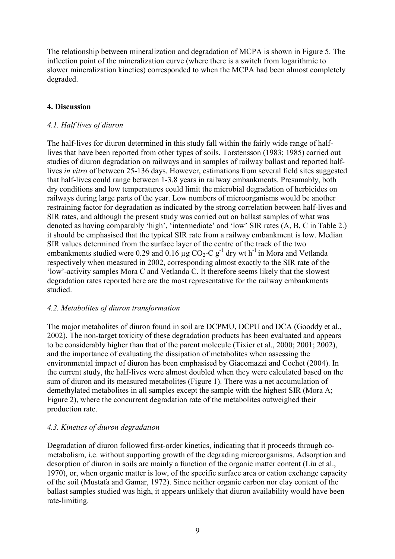The relationship between mineralization and degradation of MCPA is shown in Figure 5. The inflection point of the mineralization curve (where there is a switch from logarithmic to slower mineralization kinetics) corresponded to when the MCPA had been almost completely degraded.

## 4. Discussion

## 4.1. Half lives of diuron

The half-lives for diuron determined in this study fall within the fairly wide range of halflives that have been reported from other types of soils. Torstensson (1983; 1985) carried out studies of diuron degradation on railways and in samples of railway ballast and reported halflives in vitro of between 25-136 days. However, estimations from several field sites suggested that half-lives could range between 1-3.8 years in railway embankments. Presumably, both dry conditions and low temperatures could limit the microbial degradation of herbicides on railways during large parts of the year. Low numbers of microorganisms would be another restraining factor for degradation as indicated by the strong correlation between half-lives and SIR rates, and although the present study was carried out on ballast samples of what was denoted as having comparably 'high', 'intermediate' and 'low' SIR rates (A, B, C in Table 2.) it should be emphasised that the typical SIR rate from a railway embankment is low. Median SIR values determined from the surface layer of the centre of the track of the two embankments studied were 0.29 and 0.16  $\mu$ g CO<sub>2</sub>-C g<sup>-1</sup> dry wt h<sup>-1</sup> in Mora and Vetlanda respectively when measured in 2002, corresponding almost exactly to the SIR rate of the 'low'-activity samples Mora C and Vetlanda C. It therefore seems likely that the slowest degradation rates reported here are the most representative for the railway embankments studied.

## 4.2. Metabolites of diuron transformation

The major metabolites of diuron found in soil are DCPMU, DCPU and DCA (Gooddy et al., 2002). The non-target toxicity of these degradation products has been evaluated and appears to be considerably higher than that of the parent molecule (Tixier et al., 2000; 2001; 2002), and the importance of evaluating the dissipation of metabolites when assessing the environmental impact of diuron has been emphasised by Giacomazzi and Cochet (2004). In the current study, the half-lives were almost doubled when they were calculated based on the sum of diuron and its measured metabolites (Figure 1). There was a net accumulation of demethylated metabolites in all samples except the sample with the highest SIR (Mora A; Figure 2), where the concurrent degradation rate of the metabolites outweighed their production rate.

## 4.3. Kinetics of diuron degradation

Degradation of diuron followed first-order kinetics, indicating that it proceeds through cometabolism, i.e. without supporting growth of the degrading microorganisms. Adsorption and desorption of diuron in soils are mainly a function of the organic matter content (Liu et al., 1970), or, when organic matter is low, of the specific surface area or cation exchange capacity of the soil (Mustafa and Gamar, 1972). Since neither organic carbon nor clay content of the ballast samples studied was high, it appears unlikely that diuron availability would have been rate-limiting.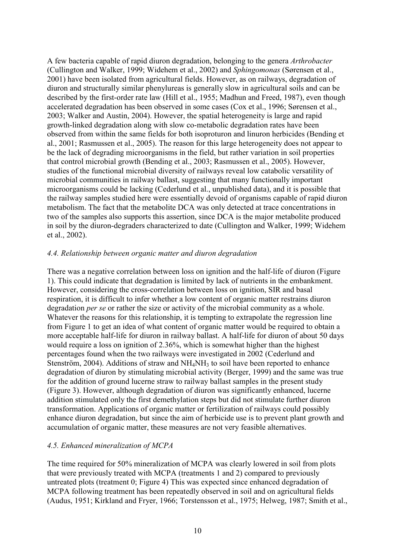A few bacteria capable of rapid diuron degradation, belonging to the genera Arthrobacter (Cullington and Walker, 1999; Widehem et al., 2002) and Sphingomonas (Sørensen et al., 2001) have been isolated from agricultural fields. However, as on railways, degradation of diuron and structurally similar phenylureas is generally slow in agricultural soils and can be described by the first-order rate law (Hill et al., 1955; Madhun and Freed, 1987), even though accelerated degradation has been observed in some cases (Cox et al., 1996; Sørensen et al., 2003; Walker and Austin, 2004). However, the spatial heterogeneity is large and rapid growth-linked degradation along with slow co-metabolic degradation rates have been observed from within the same fields for both isoproturon and linuron herbicides (Bending et al., 2001; Rasmussen et al., 2005). The reason for this large heterogeneity does not appear to be the lack of degrading microorganisms in the field, but rather variation in soil properties that control microbial growth (Bending et al., 2003; Rasmussen et al., 2005). However, studies of the functional microbial diversity of railways reveal low catabolic versatility of microbial communities in railway ballast, suggesting that many functionally important microorganisms could be lacking (Cederlund et al., unpublished data), and it is possible that the railway samples studied here were essentially devoid of organisms capable of rapid diuron metabolism. The fact that the metabolite DCA was only detected at trace concentrations in two of the samples also supports this assertion, since DCA is the major metabolite produced in soil by the diuron-degraders characterized to date (Cullington and Walker, 1999; Widehem et al., 2002).

#### 4.4. Relationship between organic matter and diuron degradation

There was a negative correlation between loss on ignition and the half-life of diuron (Figure 1). This could indicate that degradation is limited by lack of nutrients in the embankment. However, considering the cross-correlation between loss on ignition, SIR and basal respiration, it is difficult to infer whether a low content of organic matter restrains diuron degradation *per se* or rather the size or activity of the microbial community as a whole. Whatever the reasons for this relationship, it is tempting to extrapolate the regression line from Figure 1 to get an idea of what content of organic matter would be required to obtain a more acceptable half-life for diuron in railway ballast. A half-life for diuron of about 50 days would require a loss on ignition of 2.36%, which is somewhat higher than the highest percentages found when the two railways were investigated in 2002 (Cederlund and Stenström, 2004). Additions of straw and  $NH<sub>4</sub>NH<sub>3</sub>$  to soil have been reported to enhance degradation of diuron by stimulating microbial activity (Berger, 1999) and the same was true for the addition of ground lucerne straw to railway ballast samples in the present study (Figure 3). However, although degradation of diuron was significantly enhanced, lucerne addition stimulated only the first demethylation steps but did not stimulate further diuron transformation. Applications of organic matter or fertilization of railways could possibly enhance diuron degradation, but since the aim of herbicide use is to prevent plant growth and accumulation of organic matter, these measures are not very feasible alternatives.

#### 4.5. Enhanced mineralization of MCPA

The time required for 50% mineralization of MCPA was clearly lowered in soil from plots that were previously treated with MCPA (treatments 1 and 2) compared to previously untreated plots (treatment 0; Figure 4) This was expected since enhanced degradation of MCPA following treatment has been repeatedly observed in soil and on agricultural fields (Audus, 1951; Kirkland and Fryer, 1966; Torstensson et al., 1975; Helweg, 1987; Smith et al.,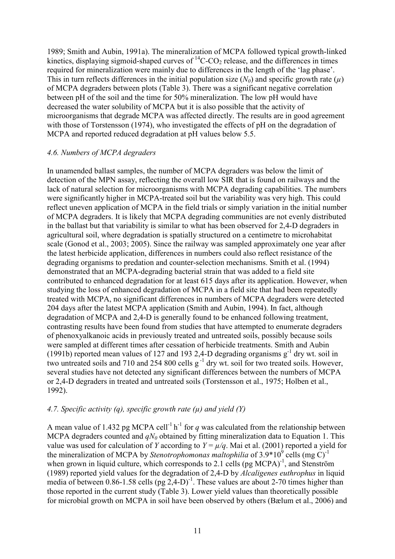1989; Smith and Aubin, 1991a). The mineralization of MCPA followed typical growth-linked kinetics, displaying sigmoid-shaped curves of  ${}^{14}C$ -CO<sub>2</sub> release, and the differences in times required for mineralization were mainly due to differences in the length of the 'lag phase'. This in turn reflects differences in the initial population size  $(N_0)$  and specific growth rate  $(\mu)$ of MCPA degraders between plots (Table 3). There was a significant negative correlation between pH of the soil and the time for 50% mineralization. The low pH would have decreased the water solubility of MCPA but it is also possible that the activity of microorganisms that degrade MCPA was affected directly. The results are in good agreement with those of Torstensson (1974), who investigated the effects of pH on the degradation of MCPA and reported reduced degradation at pH values below 5.5.

### 4.6. Numbers of MCPA degraders

In unamended ballast samples, the number of MCPA degraders was below the limit of detection of the MPN assay, reflecting the overall low SIR that is found on railways and the lack of natural selection for microorganisms with MCPA degrading capabilities. The numbers were significantly higher in MCPA-treated soil but the variability was very high. This could reflect uneven application of MCPA in the field trials or simply variation in the initial number of MCPA degraders. It is likely that MCPA degrading communities are not evenly distributed in the ballast but that variability is similar to what has been observed for 2,4-D degraders in agricultural soil, where degradation is spatially structured on a centimetre to microhabitat scale (Gonod et al., 2003; 2005). Since the railway was sampled approximately one year after the latest herbicide application, differences in numbers could also reflect resistance of the degrading organisms to predation and counter-selection mechanisms. Smith et al. (1994) demonstrated that an MCPA-degrading bacterial strain that was added to a field site contributed to enhanced degradation for at least 615 days after its application. However, when studying the loss of enhanced degradation of MCPA in a field site that had been repeatedly treated with MCPA, no significant differences in numbers of MCPA degraders were detected 204 days after the latest MCPA application (Smith and Aubin, 1994). In fact, although degradation of MCPA and 2,4-D is generally found to be enhanced following treatment, contrasting results have been found from studies that have attempted to enumerate degraders of phenoxyalkanoic acids in previously treated and untreated soils, possibly because soils were sampled at different times after cessation of herbicide treatments. Smith and Aubin (1991b) reported mean values of 127 and 193 2,4-D degrading organisms  $g^{-1}$  dry wt. soil in two untreated soils and 710 and 254 800 cells  $g^{-1}$  dry wt. soil for two treated soils. However, several studies have not detected any significant differences between the numbers of MCPA or 2,4-D degraders in treated and untreated soils (Torstensson et al., 1975; Holben et al., 1992).

## 4.7. Specific activity (q), specific growth rate  $(\mu)$  and yield  $(Y)$

A mean value of 1.432 pg MCPA cell<sup>-1</sup> h<sup>-1</sup> for q was calculated from the relationship between MCPA degraders counted and  $qN<sub>0</sub>$  obtained by fitting mineralization data to Equation 1. This value was used for calculation of Y according to  $Y = \mu/q$ . Mai et al. (2001) reported a yield for the mineralization of MCPA by Stenotrophomonas maltophilia of  $3.9*10^9$  cells (mg C)<sup>-1</sup> when grown in liquid culture, which corresponds to 2.1 cells (pg  $MCPA$ )<sup>-1</sup>, and Stenström (1989) reported yield values for the degradation of 2,4-D by Alcaligenes euthrophus in liquid media of between 0.86-1.58 cells  $(pg 2,4-D)^{-1}$ . These values are about 2-70 times higher than those reported in the current study (Table 3). Lower yield values than theoretically possible for microbial growth on MCPA in soil have been observed by others (Bælum et al., 2006) and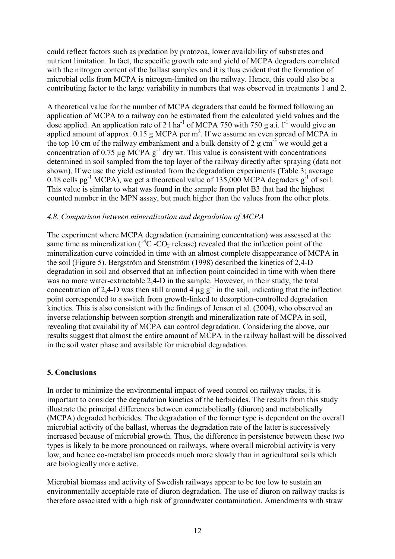could reflect factors such as predation by protozoa, lower availability of substrates and nutrient limitation. In fact, the specific growth rate and yield of MCPA degraders correlated with the nitrogen content of the ballast samples and it is thus evident that the formation of microbial cells from MCPA is nitrogen-limited on the railway. Hence, this could also be a contributing factor to the large variability in numbers that was observed in treatments 1 and 2.

A theoretical value for the number of MCPA degraders that could be formed following an application of MCPA to a railway can be estimated from the calculated yield values and the dose applied. An application rate of 2 l ha<sup>-1</sup> of MCPA 750 with 750 g a.i.  $1^{-1}$  would give an applied amount of approx.  $0.15$  g MCPA per m<sup>2</sup>. If we assume an even spread of MCPA in the top 10 cm of the railway embankment and a bulk density of 2 g cm<sup>-3</sup> we would get a concentration of 0.75  $\mu$ g MCPA g<sup>-1</sup> dry wt. This value is consistent with concentrations determined in soil sampled from the top layer of the railway directly after spraying (data not shown). If we use the yield estimated from the degradation experiments (Table 3; average 0.18 cells pg<sup>-1</sup> MCPA), we get a theoretical value of 135,000 MCPA degraders g<sup>-1</sup> of soil. This value is similar to what was found in the sample from plot B3 that had the highest counted number in the MPN assay, but much higher than the values from the other plots.

### 4.8. Comparison between mineralization and degradation of MCPA

The experiment where MCPA degradation (remaining concentration) was assessed at the same time as mineralization  $({}^{14}C$ -CO<sub>2</sub> release) revealed that the inflection point of the mineralization curve coincided in time with an almost complete disappearance of MCPA in the soil (Figure 5). Bergström and Stenström (1998) described the kinetics of 2,4-D degradation in soil and observed that an inflection point coincided in time with when there was no more water-extractable 2,4-D in the sample. However, in their study, the total concentration of 2,4-D was then still around 4  $\mu$ g g<sup>-1</sup> in the soil, indicating that the inflection point corresponded to a switch from growth-linked to desorption-controlled degradation kinetics. This is also consistent with the findings of Jensen et al. (2004), who observed an inverse relationship between sorption strength and mineralization rate of MCPA in soil, revealing that availability of MCPA can control degradation. Considering the above, our results suggest that almost the entire amount of MCPA in the railway ballast will be dissolved in the soil water phase and available for microbial degradation.

## 5. Conclusions

In order to minimize the environmental impact of weed control on railway tracks, it is important to consider the degradation kinetics of the herbicides. The results from this study illustrate the principal differences between cometabolically (diuron) and metabolically (MCPA) degraded herbicides. The degradation of the former type is dependent on the overall microbial activity of the ballast, whereas the degradation rate of the latter is successively increased because of microbial growth. Thus, the difference in persistence between these two types is likely to be more pronounced on railways, where overall microbial activity is very low, and hence co-metabolism proceeds much more slowly than in agricultural soils which are biologically more active.

Microbial biomass and activity of Swedish railways appear to be too low to sustain an environmentally acceptable rate of diuron degradation. The use of diuron on railway tracks is therefore associated with a high risk of groundwater contamination. Amendments with straw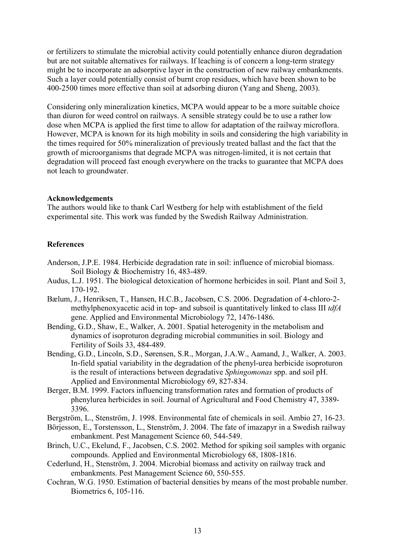or fertilizers to stimulate the microbial activity could potentially enhance diuron degradation but are not suitable alternatives for railways. If leaching is of concern a long-term strategy might be to incorporate an adsorptive layer in the construction of new railway embankments. Such a layer could potentially consist of burnt crop residues, which have been shown to be 400-2500 times more effective than soil at adsorbing diuron (Yang and Sheng, 2003).

Considering only mineralization kinetics, MCPA would appear to be a more suitable choice than diuron for weed control on railways. A sensible strategy could be to use a rather low dose when MCPA is applied the first time to allow for adaptation of the railway microflora. However, MCPA is known for its high mobility in soils and considering the high variability in the times required for 50% mineralization of previously treated ballast and the fact that the growth of microorganisms that degrade MCPA was nitrogen-limited, it is not certain that degradation will proceed fast enough everywhere on the tracks to guarantee that MCPA does not leach to groundwater.

### Acknowledgements

The authors would like to thank Carl Westberg for help with establishment of the field experimental site. This work was funded by the Swedish Railway Administration.

## References

- Anderson, J.P.E. 1984. Herbicide degradation rate in soil: influence of microbial biomass. Soil Biology & Biochemistry 16, 483-489.
- Audus, L.J. 1951. The biological detoxication of hormone herbicides in soil. Plant and Soil 3, 170-192.
- Bælum, J., Henriksen, T., Hansen, H.C.B., Jacobsen, C.S. 2006. Degradation of 4-chloro-2 methylphenoxyacetic acid in top- and subsoil is quantitatively linked to class III tdfA gene. Applied and Environmental Microbiology 72, 1476-1486.
- Bending, G.D., Shaw, E., Walker, A. 2001. Spatial heterogenity in the metabolism and dynamics of isoproturon degrading microbial communities in soil. Biology and Fertility of Soils 33, 484-489.
- Bending, G.D., Lincoln, S.D., Sørensen, S.R., Morgan, J.A.W., Aamand, J., Walker, A. 2003. In-field spatial variability in the degradation of the phenyl-urea herbicide isoproturon is the result of interactions between degradative Sphingomonas spp. and soil pH. Applied and Environmental Microbiology 69, 827-834.
- Berger, B.M. 1999. Factors influencing transformation rates and formation of products of phenylurea herbicides in soil. Journal of Agricultural and Food Chemistry 47, 3389- 3396.
- Bergström, L., Stenström, J. 1998. Environmental fate of chemicals in soil. Ambio 27, 16-23.
- Börjesson, E., Torstensson, L., Stenström, J. 2004. The fate of imazapyr in a Swedish railway embankment. Pest Management Science 60, 544-549.
- Brinch, U.C., Ekelund, F., Jacobsen, C.S. 2002. Method for spiking soil samples with organic compounds. Applied and Environmental Microbiology 68, 1808-1816.
- Cederlund, H., Stenström, J. 2004. Microbial biomass and activity on railway track and embankments. Pest Management Science 60, 550-555.
- Cochran, W.G. 1950. Estimation of bacterial densities by means of the most probable number. Biometrics 6, 105-116.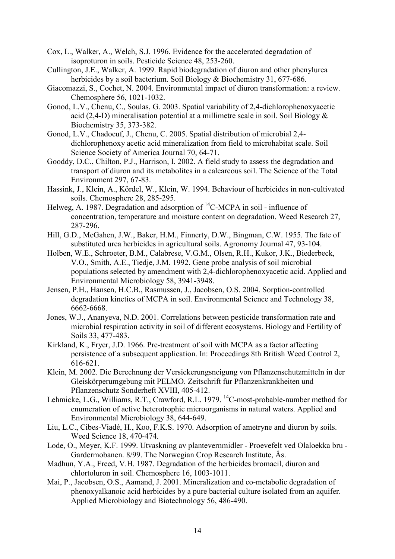- Cox, L., Walker, A., Welch, S.J. 1996. Evidence for the accelerated degradation of isoproturon in soils. Pesticide Science 48, 253-260.
- Cullington, J.E., Walker, A. 1999. Rapid biodegradation of diuron and other phenylurea herbicides by a soil bacterium. Soil Biology & Biochemistry 31, 677-686.
- Giacomazzi, S., Cochet, N. 2004. Environmental impact of diuron transformation: a review. Chemosphere 56, 1021-1032.
- Gonod, L.V., Chenu, C., Soulas, G. 2003. Spatial variability of 2,4-dichlorophenoxyacetic acid (2,4-D) mineralisation potential at a millimetre scale in soil. Soil Biology & Biochemistry 35, 373-382.
- Gonod, L.V., Chadoeuf, J., Chenu, C. 2005. Spatial distribution of microbial 2,4 dichlorophenoxy acetic acid mineralization from field to microhabitat scale. Soil Science Society of America Journal 70, 64-71.
- Gooddy, D.C., Chilton, P.J., Harrison, I. 2002. A field study to assess the degradation and transport of diuron and its metabolites in a calcareous soil. The Science of the Total Environment 297, 67-83.
- Hassink, J., Klein, A., Kördel, W., Klein, W. 1994. Behaviour of herbicides in non-cultivated soils. Chemosphere 28, 285-295.
- Helweg, A. 1987. Degradation and adsorption of  ${}^{14}$ C-MCPA in soil influence of concentration, temperature and moisture content on degradation. Weed Research 27, 287-296.
- Hill, G.D., McGahen, J.W., Baker, H.M., Finnerty, D.W., Bingman, C.W. 1955. The fate of substituted urea herbicides in agricultural soils. Agronomy Journal 47, 93-104.
- Holben, W.E., Schroeter, B.M., Calabrese, V.G.M., Olsen, R.H., Kukor, J.K., Biederbeck, V.O., Smith, A.E., Tiedje, J.M. 1992. Gene probe analysis of soil microbial populations selected by amendment with 2,4-dichlorophenoxyacetic acid. Applied and Environmental Microbiology 58, 3941-3948.
- Jensen, P.H., Hansen, H.C.B., Rasmussen, J., Jacobsen, O.S. 2004. Sorption-controlled degradation kinetics of MCPA in soil. Environmental Science and Technology 38, 6662-6668.
- Jones, W.J., Ananyeva, N.D. 2001. Correlations between pesticide transformation rate and microbial respiration activity in soil of different ecosystems. Biology and Fertility of Soils 33, 477-483.
- Kirkland, K., Fryer, J.D. 1966. Pre-treatment of soil with MCPA as a factor affecting persistence of a subsequent application. In: Proceedings 8th British Weed Control 2, 616-621.
- Klein, M. 2002. Die Berechnung der Versickerungsneigung von Pflanzenschutzmitteln in der Gleiskörperumgebung mit PELMO. Zeitschrift für Pflanzenkrankheiten und Pflanzenschutz Sonderheft XVIII, 405-412.
- Lehmicke, L.G., Williams, R.T., Crawford, R.L. 1979. <sup>14</sup>C-most-probable-number method for enumeration of active heterotrophic microorganisms in natural waters. Applied and Environmental Microbiology 38, 644-649.
- Liu, L.C., Cibes-Viadé, H., Koo, F.K.S. 1970. Adsorption of ametryne and diuron by soils. Weed Science 18, 470-474.
- Lode, O., Meyer, K.F. 1999. Utvaskning av plantevernmidler Proevefelt ved Olaloekka bru Gardermobanen. 8/99. The Norwegian Crop Research Institute, Ås.
- Madhun, Y.A., Freed, V.H. 1987. Degradation of the herbicides bromacil, diuron and chlortoluron in soil. Chemosphere 16, 1003-1011.
- Mai, P., Jacobsen, O.S., Aamand, J. 2001. Mineralization and co-metabolic degradation of phenoxyalkanoic acid herbicides by a pure bacterial culture isolated from an aquifer. Applied Microbiology and Biotechnology 56, 486-490.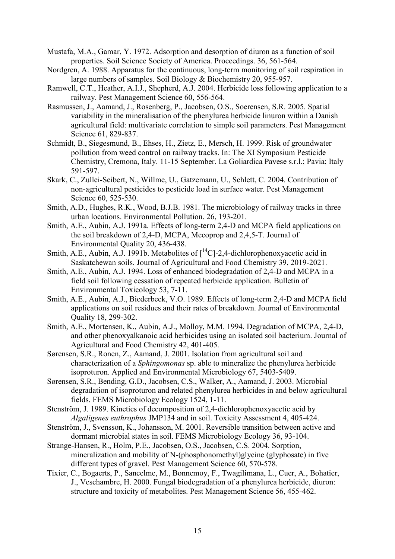- Mustafa, M.A., Gamar, Y. 1972. Adsorption and desorption of diuron as a function of soil properties. Soil Science Society of America. Proceedings. 36, 561-564.
- Nordgren, A. 1988. Apparatus for the continuous, long-term monitoring of soil respiration in large numbers of samples. Soil Biology & Biochemistry 20, 955-957.
- Ramwell, C.T., Heather, A.I.J., Shepherd, A.J. 2004. Herbicide loss following application to a railway. Pest Management Science 60, 556-564.
- Rasmussen, J., Aamand, J., Rosenberg, P., Jacobsen, O.S., Soerensen, S.R. 2005. Spatial variability in the mineralisation of the phenylurea herbicide linuron within a Danish agricultural field: multivariate correlation to simple soil parameters. Pest Management Science 61, 829-837.
- Schmidt, B., Siegesmund, B., Ehses, H., Zietz, E., Mersch, H. 1999. Risk of groundwater pollution from weed control on railway tracks. In: The XI Symposium Pesticide Chemistry, Cremona, Italy. 11-15 September. La Goliardica Pavese s.r.l.; Pavia; Italy 591-597.
- Skark, C., Zullei-Seibert, N., Willme, U., Gatzemann, U., Schlett, C. 2004. Contribution of non-agricultural pesticides to pesticide load in surface water. Pest Management Science 60, 525-530.
- Smith, A.D., Hughes, R.K., Wood, B.J.B. 1981. The microbiology of railway tracks in three urban locations. Environmental Pollution. 26, 193-201.
- Smith, A.E., Aubin, A.J. 1991a. Effects of long-term 2,4-D and MCPA field applications on the soil breakdown of 2,4-D, MCPA, Mecoprop and 2,4,5-T. Journal of Environmental Quality 20, 436-438.
- Smith, A.E., Aubin, A.J. 1991b. Metabolites of  $\int_0^{14}C$ ]-2,4-dichlorophenoxyacetic acid in Saskatchewan soils. Journal of Agricultural and Food Chemistry 39, 2019-2021.
- Smith, A.E., Aubin, A.J. 1994. Loss of enhanced biodegradation of 2,4-D and MCPA in a field soil following cessation of repeated herbicide application. Bulletin of Environmental Toxicology 53, 7-11.
- Smith, A.E., Aubin, A.J., Biederbeck, V.O. 1989. Effects of long-term 2,4-D and MCPA field applications on soil residues and their rates of breakdown. Journal of Environmental Quality 18, 299-302.
- Smith, A.E., Mortensen, K., Aubin, A.J., Molloy, M.M. 1994. Degradation of MCPA, 2,4-D, and other phenoxyalkanoic acid herbicides using an isolated soil bacterium. Journal of Agricultural and Food Chemistry 42, 401-405.
- Sørensen, S.R., Ronen, Z., Aamand, J. 2001. Isolation from agricultural soil and characterization of a Sphingomonas sp. able to mineralize the phenylurea herbicide isoproturon. Applied and Environmental Microbiology 67, 5403-5409.
- Sørensen, S.R., Bending, G.D., Jacobsen, C.S., Walker, A., Aamand, J. 2003. Microbial degradation of isoproturon and related phenylurea herbicides in and below agricultural fields. FEMS Microbiology Ecology 1524, 1-11.
- Stenström, J. 1989. Kinetics of decomposition of 2,4-dichlorophenoxyacetic acid by Algaligenes euthrophus JMP134 and in soil. Toxicity Assessment 4, 405-424.
- Stenström, J., Svensson, K., Johansson, M. 2001. Reversible transition between active and dormant microbial states in soil. FEMS Microbiology Ecology 36, 93-104.
- Strange-Hansen, R., Holm, P.E., Jacobsen, O.S., Jacobsen, C.S. 2004. Sorption, mineralization and mobility of N-(phosphonomethyl)glycine (glyphosate) in five different types of gravel. Pest Management Science 60, 570-578.
- Tixier, C., Bogaerts, P., Sancelme, M., Bonnemoy, F., Twagilimana, L., Cuer, A., Bohatier, J., Veschambre, H. 2000. Fungal biodegradation of a phenylurea herbicide, diuron: structure and toxicity of metabolites. Pest Management Science 56, 455-462.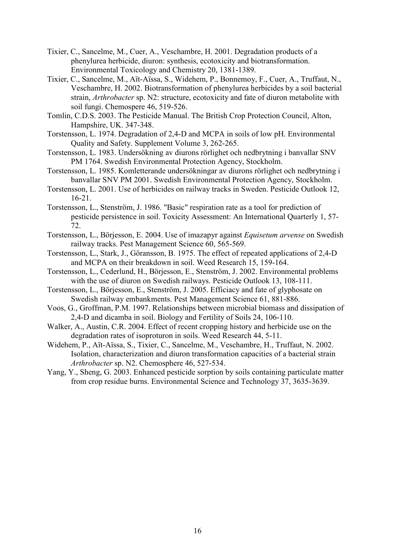- Tixier, C., Sancelme, M., Cuer, A., Veschambre, H. 2001. Degradation products of a phenylurea herbicide, diuron: synthesis, ecotoxicity and biotransformation. Environmental Toxicology and Chemistry 20, 1381-1389.
- Tixier, C., Sancelme, M., Aït-Aïssa, S., Widehem, P., Bonnemoy, F., Cuer, A., Truffaut, N., Veschambre, H. 2002. Biotransformation of phenylurea herbicides by a soil bacterial strain, *Arthrobacter* sp. N2: structure, ecotoxicity and fate of diuron metabolite with soil fungi. Chemospere 46, 519-526.
- Tomlin, C.D.S. 2003. The Pesticide Manual. The British Crop Protection Council, Alton, Hampshire, UK. 347-348.
- Torstensson, L. 1974. Degradation of 2,4-D and MCPA in soils of low pH. Environmental Quality and Safety. Supplement Volume 3, 262-265.
- Torstensson, L. 1983. Undersökning av diurons rörlighet och nedbrytning i banvallar SNV PM 1764. Swedish Environmental Protection Agency, Stockholm.
- Torstensson, L. 1985. Komletterande undersökningar av diurons rörlighet och nedbrytning i banvallar SNV PM 2001. Swedish Environmental Protection Agency, Stockholm.
- Torstensson, L. 2001. Use of herbicides on railway tracks in Sweden. Pesticide Outlook 12, 16-21.
- Torstensson, L., Stenström, J. 1986. "Basic" respiration rate as a tool for prediction of pesticide persistence in soil. Toxicity Assessment: An International Quarterly 1, 57- 72.
- Torstensson, L., Börjesson, E. 2004. Use of imazapyr against Equisetum arvense on Swedish railway tracks. Pest Management Science 60, 565-569.
- Torstensson, L., Stark, J., Göransson, B. 1975. The effect of repeated applications of 2,4-D and MCPA on their breakdown in soil. Weed Research 15, 159-164.
- Torstensson, L., Cederlund, H., Börjesson, E., Stenström, J. 2002. Environmental problems with the use of diuron on Swedish railways. Pesticide Outlook 13, 108-111.
- Torstensson, L., Börjesson, E., Stenström, J. 2005. Efficiacy and fate of glyphosate on Swedish railway embankments. Pest Management Science 61, 881-886.
- Voos, G., Groffman, P.M. 1997. Relationships between microbial biomass and dissipation of 2,4-D and dicamba in soil. Biology and Fertility of Soils 24, 106-110.
- Walker, A., Austin, C.R. 2004. Effect of recent cropping history and herbicide use on the degradation rates of isoproturon in soils. Weed Research 44, 5-11.
- Widehem, P., Aït-Aïssa, S., Tixier, C., Sancelme, M., Veschambre, H., Truffaut, N. 2002. Isolation, characterization and diuron transformation capacities of a bacterial strain Arthrobacter sp. N2. Chemosphere 46, 527-534.
- Yang, Y., Sheng, G. 2003. Enhanced pesticide sorption by soils containing particulate matter from crop residue burns. Environmental Science and Technology 37, 3635-3639.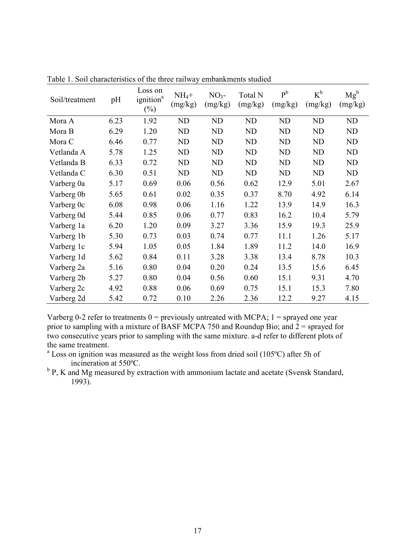| Soil/treatment | pH   | Loss on<br>ignition <sup>a</sup><br>$(\%)$ | $NH_4+$<br>(mg/kg) | $NO3$ -<br>(mg/kg) | Total N<br>(mg/kg) | $P^b$<br>(mg/kg) | $K^b$<br>(mg/kg) | $Mg^b$<br>(mg/kg) |
|----------------|------|--------------------------------------------|--------------------|--------------------|--------------------|------------------|------------------|-------------------|
| Mora A         | 6.23 | 1.92                                       | ND                 | <b>ND</b>          | <b>ND</b>          | ND               | ND               | ND                |
| Mora B         | 6.29 | 1.20                                       | ND                 | <b>ND</b>          | ND                 | ND               | ND               | ND                |
| Mora C         | 6.46 | 0.77                                       | ND                 | ND                 | ND                 | ND               | ND               | ND                |
| Vetlanda A     | 5.78 | 1.25                                       | ND                 | <b>ND</b>          | <b>ND</b>          | ND               | <b>ND</b>        | ND                |
| Vetlanda B     | 6.33 | 0.72                                       | ND                 | ND                 | <b>ND</b>          | ND               | <b>ND</b>        | ND                |
| Vetlanda C     | 6.30 | 0.51                                       | ND                 | ND                 | ND                 | ND               | ND               | ND                |
| Varberg 0a     | 5.17 | 0.69                                       | 0.06               | 0.56               | 0.62               | 12.9             | 5.01             | 2.67              |
| Varberg 0b     | 5.65 | 0.61                                       | 0.02               | 0.35               | 0.37               | 8.70             | 4.92             | 6.14              |
| Varberg 0c     | 6.08 | 0.98                                       | 0.06               | 1.16               | 1.22               | 13.9             | 14.9             | 16.3              |
| Varberg 0d     | 5.44 | 0.85                                       | 0.06               | 0.77               | 0.83               | 16.2             | 10.4             | 5.79              |
| Varberg 1a     | 6.20 | 1.20                                       | 0.09               | 3.27               | 3.36               | 15.9             | 19.3             | 25.9              |
| Varberg 1b     | 5.30 | 0.73                                       | 0.03               | 0.74               | 0.77               | 11.1             | 1.26             | 5.17              |
| Varberg 1c     | 5.94 | 1.05                                       | 0.05               | 1.84               | 1.89               | 11.2             | 14.0             | 16.9              |
| Varberg 1d     | 5.62 | 0.84                                       | 0.11               | 3.28               | 3.38               | 13.4             | 8.78             | 10.3              |
| Varberg 2a     | 5.16 | 0.80                                       | 0.04               | 0.20               | 0.24               | 13.5             | 15.6             | 6.45              |
| Varberg 2b     | 5.27 | 0.80                                       | 0.04               | 0.56               | 0.60               | 15.1             | 9.31             | 4.70              |
| Varberg 2c     | 4.92 | 0.88                                       | 0.06               | 0.69               | 0.75               | 15.1             | 15.3             | 7.80              |
| Varberg 2d     | 5.42 | 0.72                                       | 0.10               | 2.26               | 2.36               | 12.2             | 9.27             | 4.15              |

Table 1. Soil characteristics of the three railway embankments studied

Varberg 0-2 refer to treatments  $0 =$  previously untreated with MCPA;  $1 =$  sprayed one year prior to sampling with a mixture of BASF MCPA 750 and Roundup Bio; and  $2 =$  sprayed for two consecutive years prior to sampling with the same mixture. a-d refer to different plots of the same treatment.

<sup>a</sup> Loss on ignition was measured as the weight loss from dried soil (105°C) after 5h of incineration at 550ºC.

<sup>b</sup> P, K and Mg measured by extraction with ammonium lactate and acetate (Svensk Standard, 1993).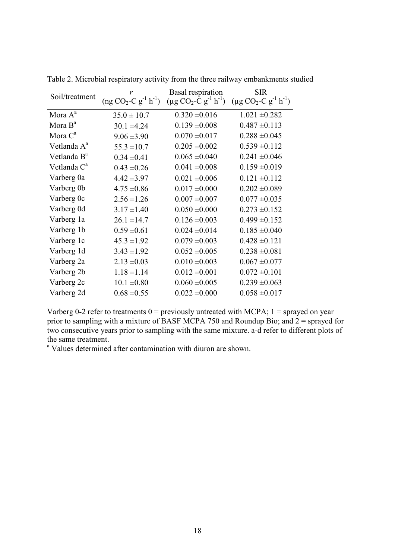| Soil/treatment          | r<br>$(ng CO2-C g-1 h-1)$ | <b>Basal</b> respiration<br>$(\mu g CO_2-C g^{-1} h^{-1})$ | <b>SIR</b><br>$(\mu g CO_2-C g^{-1} h^{-1})$ |
|-------------------------|---------------------------|------------------------------------------------------------|----------------------------------------------|
| Mora A <sup>a</sup>     | $35.0 \pm 10.7$           | $0.320 \pm 0.016$                                          | $1.021 \pm 0.282$                            |
| Mora $B^a$              | $30.1 \pm 4.24$           | $0.139 \pm 0.008$                                          | $0.487 \pm 0.113$                            |
| Mora C <sup>a</sup>     | $9.06 \pm 3.90$           | $0.070 \pm 0.017$                                          | $0.288 \pm 0.045$                            |
| Vetlanda A <sup>a</sup> | $55.3 \pm 10.7$           | $0.205 \pm 0.002$                                          | $0.539 \pm 0.112$                            |
| Vetlanda B <sup>a</sup> | $0.34 \pm 0.41$           | $0.065 \pm 0.040$                                          | $0.241 \pm 0.046$                            |
| Vetlanda C <sup>a</sup> | $0.43 \pm 0.26$           | $0.041 \pm 0.008$                                          | $0.159 \pm 0.019$                            |
| Varberg 0a              | $4.42 \pm 3.97$           | $0.021 \pm 0.006$                                          | $0.121 \pm 0.112$                            |
| Varberg 0b              | $4.75 \pm 0.86$           | $0.017 \pm 0.000$                                          | $0.202 \pm 0.089$                            |
| Varberg 0c              | $2.56 \pm 1.26$           | $0.007 \pm 0.007$                                          | $0.077 \pm 0.035$                            |
| Varberg 0d              | $3.17 \pm 1.40$           | $0.050 \pm 0.000$                                          | $0.273 \pm 0.152$                            |
| Varberg 1a              | $26.1 \pm 14.7$           | $0.126 \pm 0.003$                                          | $0.499 \pm 0.152$                            |
| Varberg 1b              | $0.59 \pm 0.61$           | $0.024 \pm 0.014$                                          | $0.185 \pm 0.040$                            |
| Varberg 1c              | $45.3 \pm 1.92$           | $0.079 \pm 0.003$                                          | $0.428 \pm 0.121$                            |
| Varberg 1d              | $3.43 \pm 1.92$           | $0.052 \pm 0.005$                                          | $0.238 \pm 0.081$                            |
| Varberg 2a              | $2.13 \pm 0.03$           | $0.010 \pm 0.003$                                          | $0.067 \pm 0.077$                            |
| Varberg 2b              | $1.18 \pm 1.14$           | $0.012 \pm 0.001$                                          | $0.072 \pm 0.101$                            |
| Varberg 2c              | $10.1 \pm 0.80$           | $0.060 \pm 0.005$                                          | $0.239 \pm 0.063$                            |
| Varberg 2d              | $0.68 \pm 0.55$           | $0.022 \pm 0.000$                                          | $0.058 \pm 0.017$                            |

Table 2. Microbial respiratory activity from the three railway embankments studied

Varberg 0-2 refer to treatments  $0 =$  previously untreated with MCPA;  $1 =$  sprayed on year prior to sampling with a mixture of BASF MCPA 750 and Roundup Bio; and  $2 =$  sprayed for two consecutive years prior to sampling with the same mixture. a-d refer to different plots of the same treatment.

<sup>a</sup> Values determined after contamination with diuron are shown.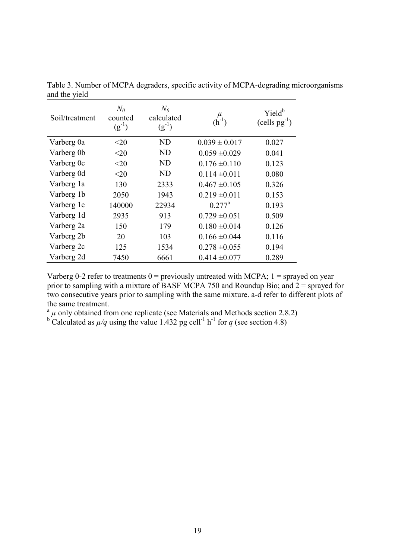| Soil/treatment | $N_{\theta}$<br>counted<br>$(g^{-1})$ | $N_{\theta}$<br>calculated<br>$(g^{-1})$ | $\mu$<br>$(h^{-1})$ | Yield <sup>b</sup><br>$(cells pg-1)$ |
|----------------|---------------------------------------|------------------------------------------|---------------------|--------------------------------------|
| Varberg 0a     | $<$ 20                                | ND                                       | $0.039 \pm 0.017$   | 0.027                                |
| Varberg 0b     | $<$ 20                                | <b>ND</b>                                | $0.059 \pm 0.029$   | 0.041                                |
| Varberg 0c     | $<$ 20                                | <b>ND</b>                                | $0.176 \pm 0.110$   | 0.123                                |
| Varberg 0d     | <20                                   | ND                                       | $0.114 \pm 0.011$   | 0.080                                |
| Varberg 1a     | 130                                   | 2333                                     | $0.467 \pm 0.105$   | 0.326                                |
| Varberg 1b     | 2050                                  | 1943                                     | $0.219 \pm 0.011$   | 0.153                                |
| Varberg 1c     | 140000                                | 22934                                    | $0.277^a$           | 0.193                                |
| Varberg 1d     | 2935                                  | 913                                      | $0.729 \pm 0.051$   | 0.509                                |
| Varberg 2a     | 150                                   | 179                                      | $0.180 \pm 0.014$   | 0.126                                |
| Varberg 2b     | 20                                    | 103                                      | $0.166 \pm 0.044$   | 0.116                                |
| Varberg 2c     | 125                                   | 1534                                     | $0.278 \pm 0.055$   | 0.194                                |
| Varberg 2d     | 7450                                  | 6661                                     | $0.414 \pm 0.077$   | 0.289                                |

Table 3. Number of MCPA degraders, specific activity of MCPA-degrading microorganisms and the yield

Varberg 0-2 refer to treatments  $0 =$  previously untreated with MCPA;  $1 =$  sprayed on year prior to sampling with a mixture of BASF MCPA 750 and Roundup Bio; and  $2 =$  sprayed for two consecutive years prior to sampling with the same mixture. a-d refer to different plots of the same treatment.

<sup>a</sup>  $\mu$  only obtained from one replicate (see Materials and Methods section 2.8.2)<br><sup>b</sup> Calculated as  $\mu/q$  using the value 1.432 pg cell<sup>-1</sup> h<sup>-1</sup> for q (see section 4.8)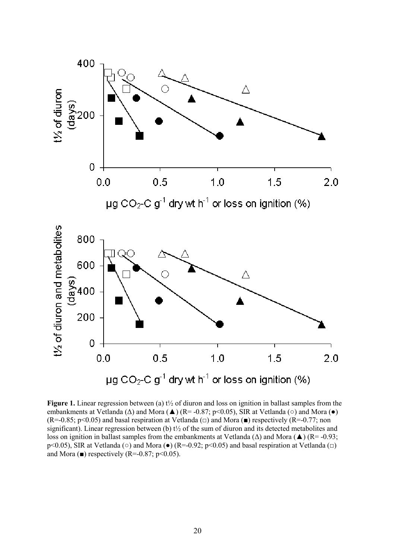

**Figure 1.** Linear regression between (a)  $t\frac{1}{2}$  of diuron and loss on ignition in ballast samples from the embankments at Vetlanda ( $\Delta$ ) and Mora ( $\blacktriangle$ ) (R= -0.87; p<0.05), SIR at Vetlanda ( $\circ$ ) and Mora ( $\bullet$ )  $(R=-0.85; p<0.05)$  and basal respiration at Vetlanda ( $\Box$ ) and Mora ( $\blacksquare$ ) respectively (R=-0.77; non significant). Linear regression between (b)  $t\frac{1}{2}$  of the sum of diuron and its detected metabolites and loss on ignition in ballast samples from the embankments at Vetlanda (∆) and Mora (▲) (R= -0.93; p<0.05), SIR at Vetlanda (○) and Mora (●) (R=-0.92; p<0.05) and basal respiration at Vetlanda (□) and Mora ( $\blacksquare$ ) respectively (R=-0.87; p<0.05).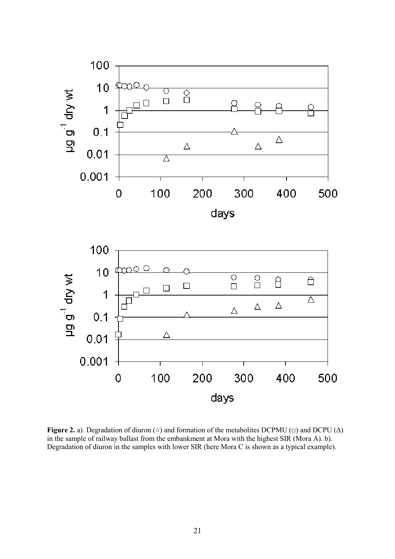



Figure 2. a). Degradation of diuron (○) and formation of the metabolites DCPMU (□) and DCPU ( $\Delta$ ) in the sample of railway ballast from the embankment at Mora with the highest SIR (Mora A). b). Degradation of diuron in the samples with lower SIR (here Mora C is shown as a typical example).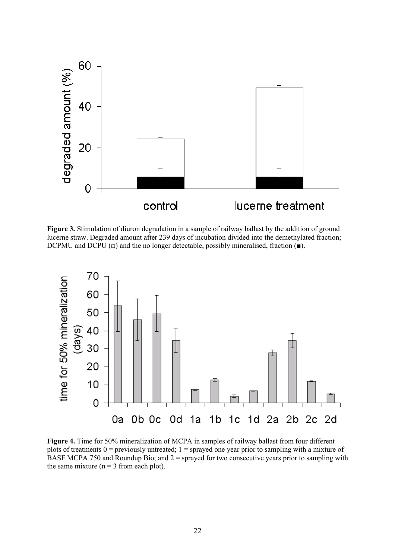

Figure 3. Stimulation of diuron degradation in a sample of railway ballast by the addition of ground lucerne straw. Degraded amount after 239 days of incubation divided into the demethylated fraction; DCPMU and DCPU  $(\square)$  and the no longer detectable, possibly mineralised, fraction ( $\blacksquare$ ).



Figure 4. Time for 50% mineralization of MCPA in samples of railway ballast from four different plots of treatments  $0 =$  previously untreated;  $1 =$  sprayed one year prior to sampling with a mixture of BASF MCPA 750 and Roundup Bio; and  $2 =$  sprayed for two consecutive years prior to sampling with the same mixture ( $n = 3$  from each plot).